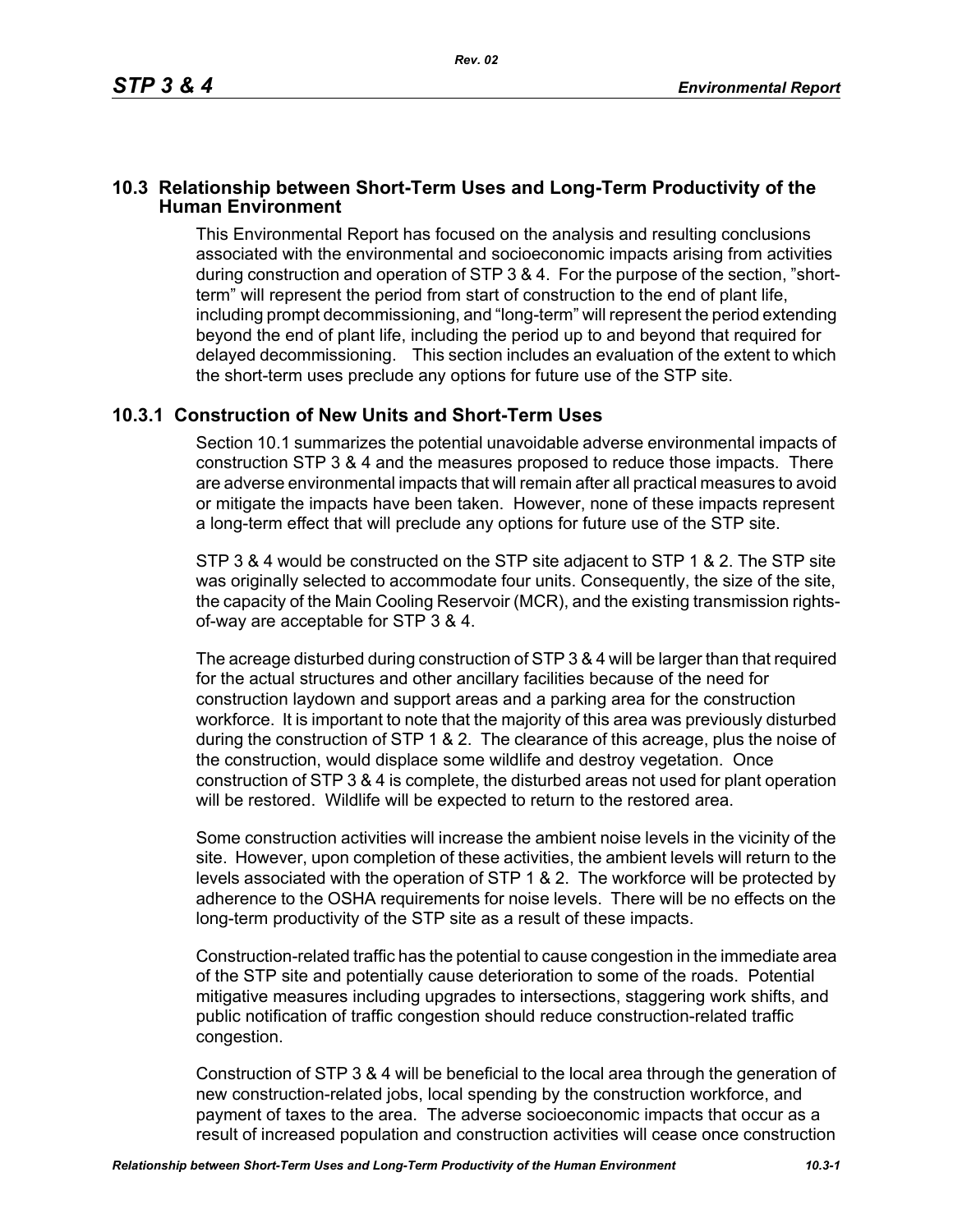## **10.3 Relationship between Short-Term Uses and Long-Term Productivity of the Human Environment**

This Environmental Report has focused on the analysis and resulting conclusions associated with the environmental and socioeconomic impacts arising from activities during construction and operation of STP 3 & 4. For the purpose of the section, "shortterm" will represent the period from start of construction to the end of plant life, including prompt decommissioning, and "long-term" will represent the period extending beyond the end of plant life, including the period up to and beyond that required for delayed decommissioning. This section includes an evaluation of the extent to which the short-term uses preclude any options for future use of the STP site.

## **10.3.1 Construction of New Units and Short-Term Uses**

Section 10.1 summarizes the potential unavoidable adverse environmental impacts of construction STP 3 & 4 and the measures proposed to reduce those impacts. There are adverse environmental impacts that will remain after all practical measures to avoid or mitigate the impacts have been taken. However, none of these impacts represent a long-term effect that will preclude any options for future use of the STP site.

STP 3 & 4 would be constructed on the STP site adjacent to STP 1 & 2. The STP site was originally selected to accommodate four units. Consequently, the size of the site, the capacity of the Main Cooling Reservoir (MCR), and the existing transmission rightsof-way are acceptable for STP 3 & 4.

The acreage disturbed during construction of STP 3 & 4 will be larger than that required for the actual structures and other ancillary facilities because of the need for construction laydown and support areas and a parking area for the construction workforce. It is important to note that the majority of this area was previously disturbed during the construction of STP 1 & 2. The clearance of this acreage, plus the noise of the construction, would displace some wildlife and destroy vegetation. Once construction of STP 3 & 4 is complete, the disturbed areas not used for plant operation will be restored. Wildlife will be expected to return to the restored area.

Some construction activities will increase the ambient noise levels in the vicinity of the site. However, upon completion of these activities, the ambient levels will return to the levels associated with the operation of STP 1 & 2. The workforce will be protected by adherence to the OSHA requirements for noise levels. There will be no effects on the long-term productivity of the STP site as a result of these impacts.

Construction-related traffic has the potential to cause congestion in the immediate area of the STP site and potentially cause deterioration to some of the roads. Potential mitigative measures including upgrades to intersections, staggering work shifts, and public notification of traffic congestion should reduce construction-related traffic congestion.

Construction of STP 3 & 4 will be beneficial to the local area through the generation of new construction-related jobs, local spending by the construction workforce, and payment of taxes to the area. The adverse socioeconomic impacts that occur as a result of increased population and construction activities will cease once construction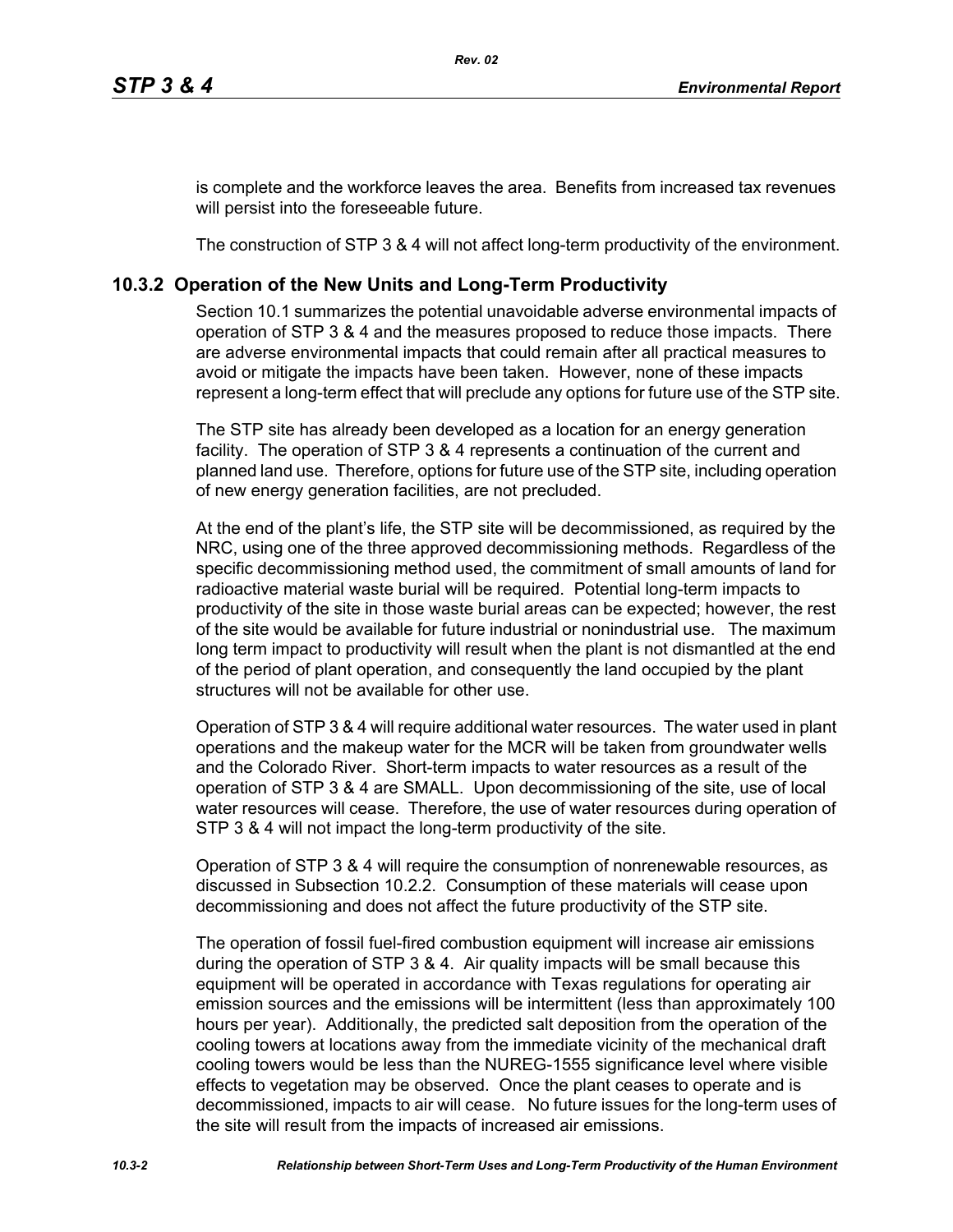is complete and the workforce leaves the area. Benefits from increased tax revenues will persist into the foreseeable future.

The construction of STP 3 & 4 will not affect long-term productivity of the environment.

## **10.3.2 Operation of the New Units and Long-Term Productivity**

Section 10.1 summarizes the potential unavoidable adverse environmental impacts of operation of STP 3 & 4 and the measures proposed to reduce those impacts. There are adverse environmental impacts that could remain after all practical measures to avoid or mitigate the impacts have been taken. However, none of these impacts represent a long-term effect that will preclude any options for future use of the STP site.

The STP site has already been developed as a location for an energy generation facility. The operation of STP 3 & 4 represents a continuation of the current and planned land use. Therefore, options for future use of the STP site, including operation of new energy generation facilities, are not precluded.

At the end of the plant's life, the STP site will be decommissioned, as required by the NRC, using one of the three approved decommissioning methods. Regardless of the specific decommissioning method used, the commitment of small amounts of land for radioactive material waste burial will be required. Potential long-term impacts to productivity of the site in those waste burial areas can be expected; however, the rest of the site would be available for future industrial or nonindustrial use. The maximum long term impact to productivity will result when the plant is not dismantled at the end of the period of plant operation, and consequently the land occupied by the plant structures will not be available for other use.

Operation of STP 3 & 4 will require additional water resources. The water used in plant operations and the makeup water for the MCR will be taken from groundwater wells and the Colorado River. Short-term impacts to water resources as a result of the operation of STP 3 & 4 are SMALL. Upon decommissioning of the site, use of local water resources will cease. Therefore, the use of water resources during operation of STP 3 & 4 will not impact the long-term productivity of the site.

Operation of STP 3 & 4 will require the consumption of nonrenewable resources, as discussed in Subsection 10.2.2. Consumption of these materials will cease upon decommissioning and does not affect the future productivity of the STP site.

The operation of fossil fuel-fired combustion equipment will increase air emissions during the operation of STP 3 & 4. Air quality impacts will be small because this equipment will be operated in accordance with Texas regulations for operating air emission sources and the emissions will be intermittent (less than approximately 100 hours per year). Additionally, the predicted salt deposition from the operation of the cooling towers at locations away from the immediate vicinity of the mechanical draft cooling towers would be less than the NUREG-1555 significance level where visible effects to vegetation may be observed. Once the plant ceases to operate and is decommissioned, impacts to air will cease. No future issues for the long-term uses of the site will result from the impacts of increased air emissions.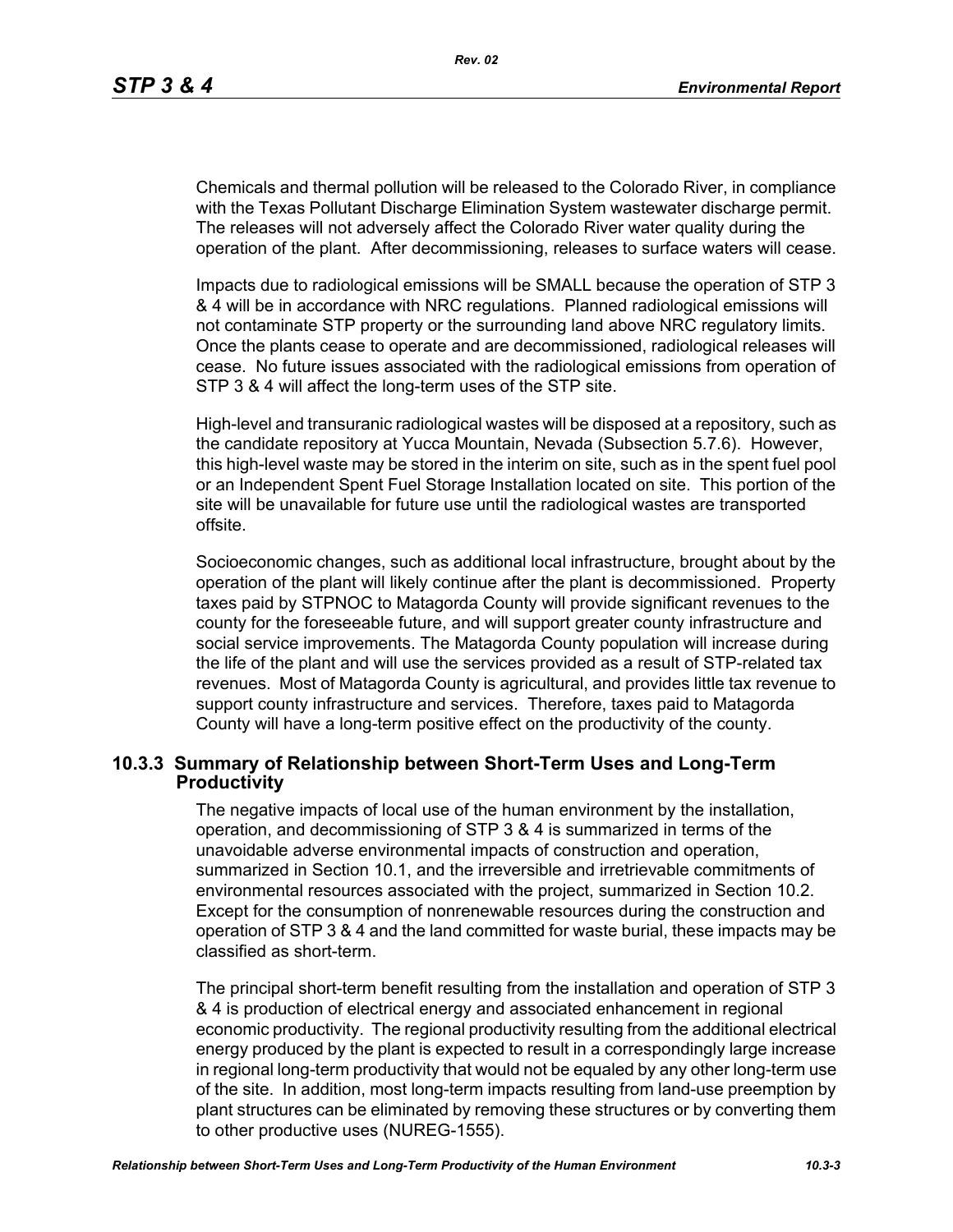Chemicals and thermal pollution will be released to the Colorado River, in compliance with the Texas Pollutant Discharge Elimination System wastewater discharge permit. The releases will not adversely affect the Colorado River water quality during the operation of the plant. After decommissioning, releases to surface waters will cease.

Impacts due to radiological emissions will be SMALL because the operation of STP 3 & 4 will be in accordance with NRC regulations. Planned radiological emissions will not contaminate STP property or the surrounding land above NRC regulatory limits. Once the plants cease to operate and are decommissioned, radiological releases will cease. No future issues associated with the radiological emissions from operation of STP 3 & 4 will affect the long-term uses of the STP site.

High-level and transuranic radiological wastes will be disposed at a repository, such as the candidate repository at Yucca Mountain, Nevada (Subsection 5.7.6). However, this high-level waste may be stored in the interim on site, such as in the spent fuel pool or an Independent Spent Fuel Storage Installation located on site. This portion of the site will be unavailable for future use until the radiological wastes are transported offsite.

Socioeconomic changes, such as additional local infrastructure, brought about by the operation of the plant will likely continue after the plant is decommissioned. Property taxes paid by STPNOC to Matagorda County will provide significant revenues to the county for the foreseeable future, and will support greater county infrastructure and social service improvements. The Matagorda County population will increase during the life of the plant and will use the services provided as a result of STP-related tax revenues. Most of Matagorda County is agricultural, and provides little tax revenue to support county infrastructure and services. Therefore, taxes paid to Matagorda County will have a long-term positive effect on the productivity of the county.

## **10.3.3 Summary of Relationship between Short-Term Uses and Long-Term Productivity**

The negative impacts of local use of the human environment by the installation, operation, and decommissioning of STP 3 & 4 is summarized in terms of the unavoidable adverse environmental impacts of construction and operation, summarized in Section 10.1, and the irreversible and irretrievable commitments of environmental resources associated with the project, summarized in Section 10.2. Except for the consumption of nonrenewable resources during the construction and operation of STP 3 & 4 and the land committed for waste burial, these impacts may be classified as short-term.

The principal short-term benefit resulting from the installation and operation of STP 3 & 4 is production of electrical energy and associated enhancement in regional economic productivity. The regional productivity resulting from the additional electrical energy produced by the plant is expected to result in a correspondingly large increase in regional long-term productivity that would not be equaled by any other long-term use of the site. In addition, most long-term impacts resulting from land-use preemption by plant structures can be eliminated by removing these structures or by converting them to other productive uses (NUREG-1555).